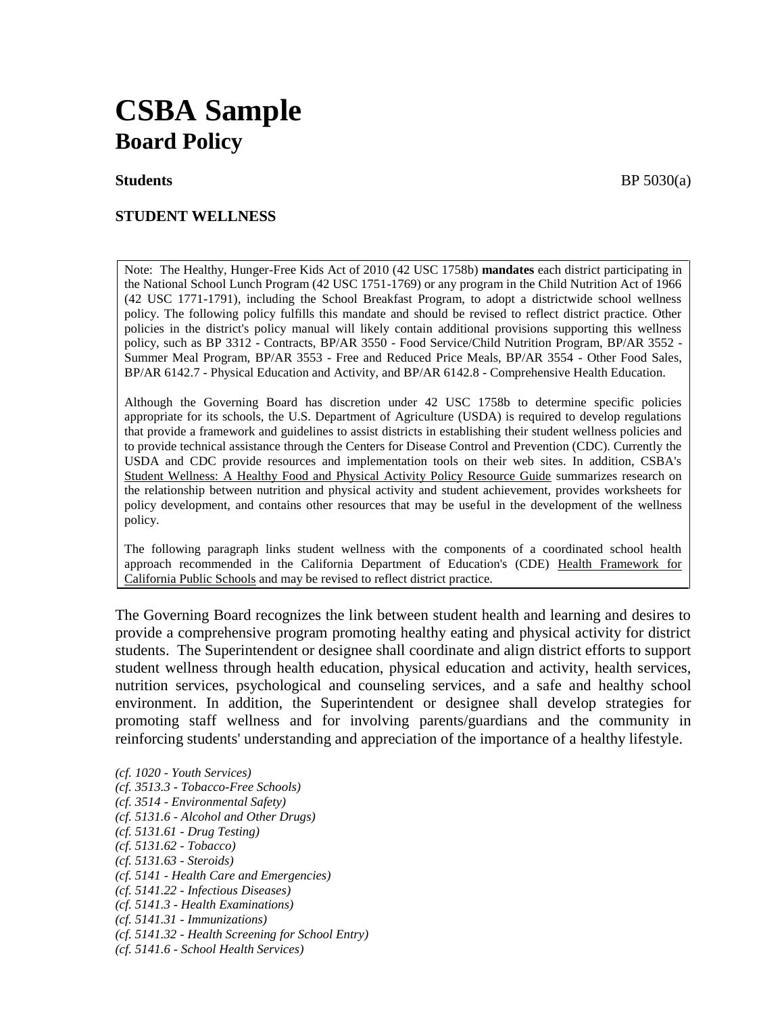# **CSBA Sample Board Policy**

#### **STUDENT WELLNESS**

Note: The Healthy, Hunger-Free Kids Act of 2010 (42 USC 1758b) **mandates** each district participating in the National School Lunch Program (42 USC 1751-1769) or any program in the Child Nutrition Act of 1966 (42 USC 1771-1791), including the School Breakfast Program, to adopt a districtwide school wellness policy. The following policy fulfills this mandate and should be revised to reflect district practice. Other policies in the district's policy manual will likely contain additional provisions supporting this wellness policy, such as BP 3312 - Contracts, BP/AR 3550 - Food Service/Child Nutrition Program, BP/AR 3552 - Summer Meal Program, BP/AR 3553 - Free and Reduced Price Meals, BP/AR 3554 - Other Food Sales, BP/AR 6142.7 - Physical Education and Activity, and BP/AR 6142.8 - Comprehensive Health Education.

Although the Governing Board has discretion under 42 USC 1758b to determine specific policies appropriate for its schools, the U.S. Department of Agriculture (USDA) is required to develop regulations that provide a framework and guidelines to assist districts in establishing their student wellness policies and to provide technical assistance through the Centers for Disease Control and Prevention (CDC). Currently the USDA and CDC provide resources and implementation tools on their web sites. In addition, CSBA's Student Wellness: A Healthy Food and Physical Activity Policy Resource Guide summarizes research on the relationship between nutrition and physical activity and student achievement, provides worksheets for policy development, and contains other resources that may be useful in the development of the wellness policy.

The following paragraph links student wellness with the components of a coordinated school health approach recommended in the California Department of Education's (CDE) Health Framework for California Public Schools and may be revised to reflect district practice.

The Governing Board recognizes the link between student health and learning and desires to provide a comprehensive program promoting healthy eating and physical activity for district students. The Superintendent or designee shall coordinate and align district efforts to support student wellness through health education, physical education and activity, health services, nutrition services, psychological and counseling services, and a safe and healthy school environment. In addition, the Superintendent or designee shall develop strategies for promoting staff wellness and for involving parents/guardians and the community in reinforcing students' understanding and appreciation of the importance of a healthy lifestyle.

*(cf. 1020 - Youth Services) (cf. 3513.3 - Tobacco-Free Schools) (cf. 3514 - Environmental Safety) (cf. 5131.6 - Alcohol and Other Drugs) (cf. 5131.61 - Drug Testing) (cf. 5131.62 - Tobacco) (cf. 5131.63 - Steroids) (cf. 5141 - Health Care and Emergencies) (cf. 5141.22 - Infectious Diseases) (cf. 5141.3 - Health Examinations) (cf. 5141.31 - Immunizations) (cf. 5141.32 - Health Screening for School Entry) (cf. 5141.6 - School Health Services)*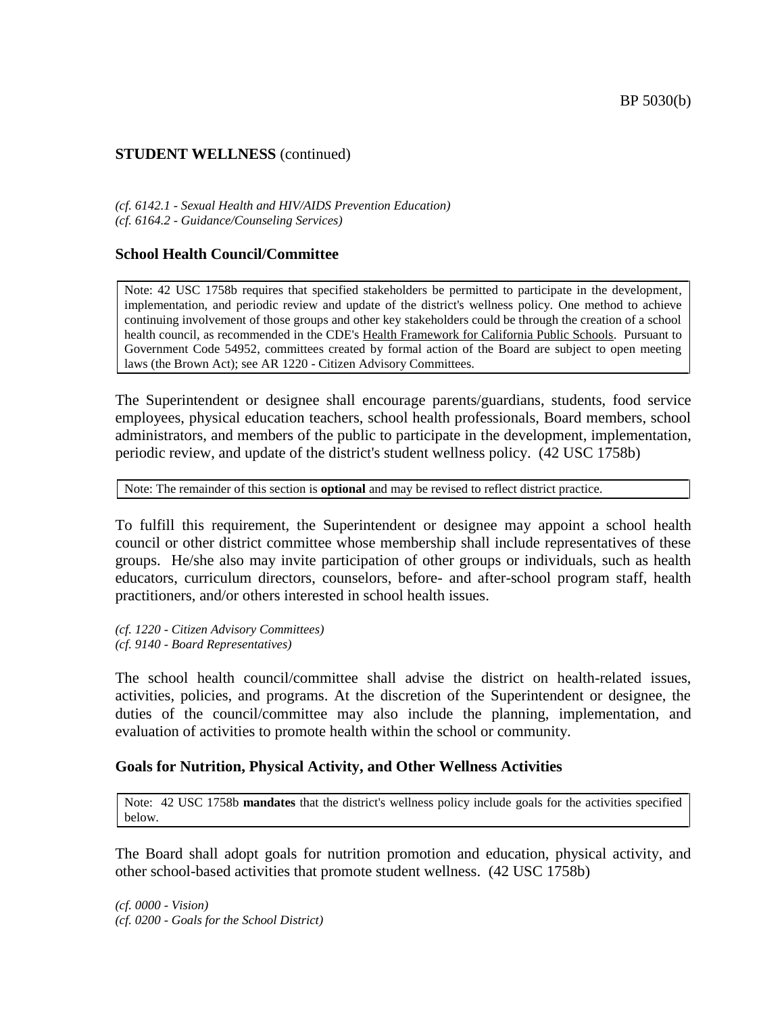*(cf. 6142.1 - Sexual Health and HIV/AIDS Prevention Education) (cf. 6164.2 - Guidance/Counseling Services)*

#### **School Health Council/Committee**

Note: 42 USC 1758b requires that specified stakeholders be permitted to participate in the development, implementation, and periodic review and update of the district's wellness policy. One method to achieve continuing involvement of those groups and other key stakeholders could be through the creation of a school health council, as recommended in the CDE's Health Framework for California Public Schools. Pursuant to Government Code 54952, committees created by formal action of the Board are subject to open meeting laws (the Brown Act); see AR 1220 - Citizen Advisory Committees.

The Superintendent or designee shall encourage parents/guardians, students, food service employees, physical education teachers, school health professionals, Board members, school administrators, and members of the public to participate in the development, implementation, periodic review, and update of the district's student wellness policy. (42 USC 1758b)

Note: The remainder of this section is **optional** and may be revised to reflect district practice.

To fulfill this requirement, the Superintendent or designee may appoint a school health council or other district committee whose membership shall include representatives of these groups. He/she also may invite participation of other groups or individuals, such as health educators, curriculum directors, counselors, before- and after-school program staff, health practitioners, and/or others interested in school health issues.

*(cf. 1220 - Citizen Advisory Committees) (cf. 9140 - Board Representatives)*

The school health council/committee shall advise the district on health-related issues, activities, policies, and programs. At the discretion of the Superintendent or designee, the duties of the council/committee may also include the planning, implementation, and evaluation of activities to promote health within the school or community.

#### **Goals for Nutrition, Physical Activity, and Other Wellness Activities**

Note: 42 USC 1758b **mandates** that the district's wellness policy include goals for the activities specified below.

The Board shall adopt goals for nutrition promotion and education, physical activity, and other school-based activities that promote student wellness. (42 USC 1758b)

*(cf. 0000 - Vision) (cf. 0200 - Goals for the School District)*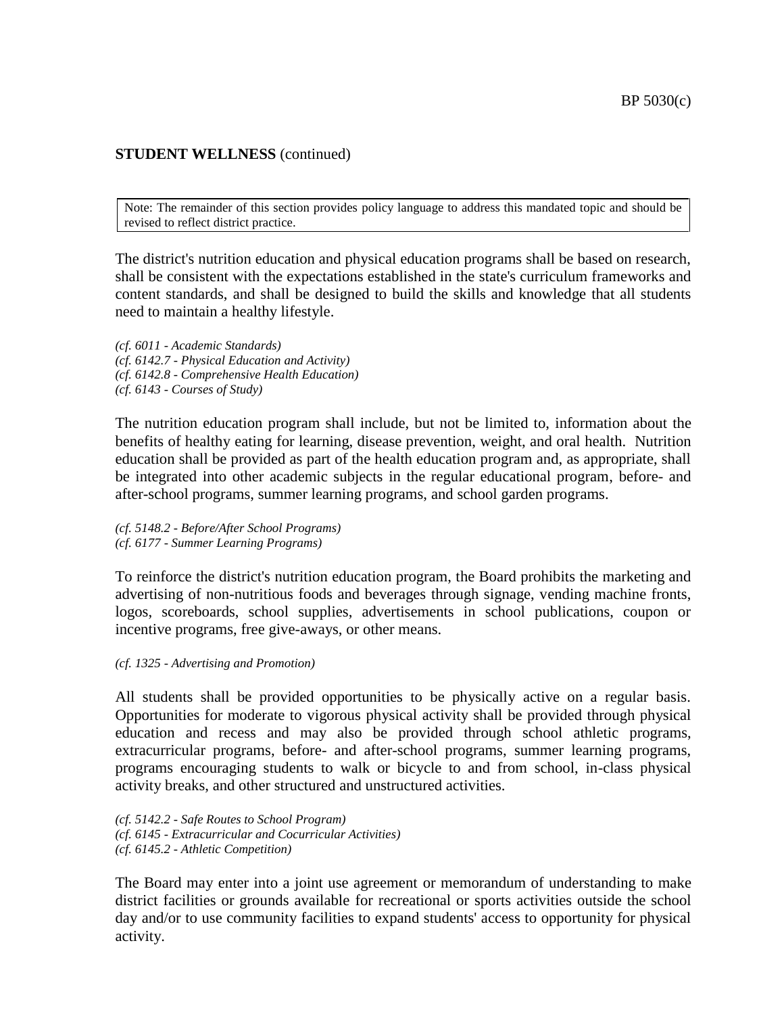Note: The remainder of this section provides policy language to address this mandated topic and should be revised to reflect district practice.

The district's nutrition education and physical education programs shall be based on research, shall be consistent with the expectations established in the state's curriculum frameworks and content standards, and shall be designed to build the skills and knowledge that all students need to maintain a healthy lifestyle.

*(cf. 6011 - Academic Standards) (cf. 6142.7 - Physical Education and Activity) (cf. 6142.8 - Comprehensive Health Education) (cf. 6143 - Courses of Study)*

The nutrition education program shall include, but not be limited to, information about the benefits of healthy eating for learning, disease prevention, weight, and oral health. Nutrition education shall be provided as part of the health education program and, as appropriate, shall be integrated into other academic subjects in the regular educational program, before- and after-school programs, summer learning programs, and school garden programs.

*(cf. 5148.2 - Before/After School Programs) (cf. 6177 - Summer Learning Programs)*

To reinforce the district's nutrition education program, the Board prohibits the marketing and advertising of non-nutritious foods and beverages through signage, vending machine fronts, logos, scoreboards, school supplies, advertisements in school publications, coupon or incentive programs, free give-aways, or other means.

*(cf. 1325 - Advertising and Promotion)*

All students shall be provided opportunities to be physically active on a regular basis. Opportunities for moderate to vigorous physical activity shall be provided through physical education and recess and may also be provided through school athletic programs, extracurricular programs, before- and after-school programs, summer learning programs, programs encouraging students to walk or bicycle to and from school, in-class physical activity breaks, and other structured and unstructured activities.

*(cf. 5142.2 - Safe Routes to School Program) (cf. 6145 - Extracurricular and Cocurricular Activities) (cf. 6145.2 - Athletic Competition)*

The Board may enter into a joint use agreement or memorandum of understanding to make district facilities or grounds available for recreational or sports activities outside the school day and/or to use community facilities to expand students' access to opportunity for physical activity.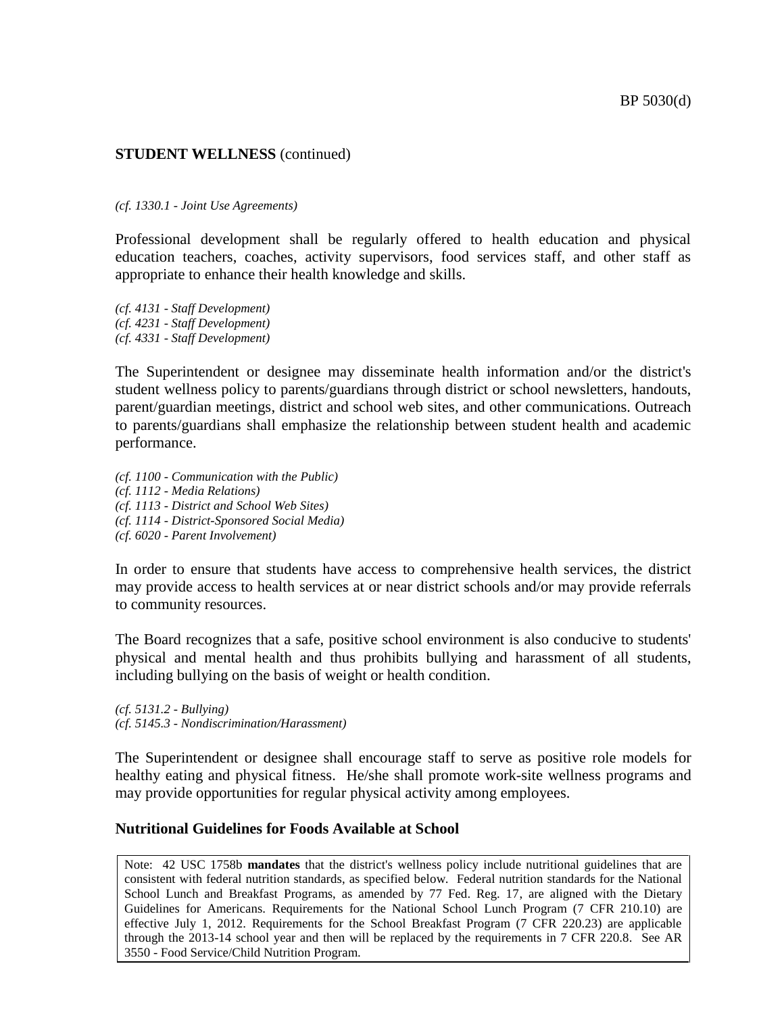#### *(cf. 1330.1 - Joint Use Agreements)*

Professional development shall be regularly offered to health education and physical education teachers, coaches, activity supervisors, food services staff, and other staff as appropriate to enhance their health knowledge and skills.

*(cf. 4131 - Staff Development) (cf. 4231 - Staff Development) (cf. 4331 - Staff Development)*

The Superintendent or designee may disseminate health information and/or the district's student wellness policy to parents/guardians through district or school newsletters, handouts, parent/guardian meetings, district and school web sites, and other communications. Outreach to parents/guardians shall emphasize the relationship between student health and academic performance.

*(cf. 1100 - Communication with the Public) (cf. 1112 - Media Relations) (cf. 1113 - District and School Web Sites) (cf. 1114 - District-Sponsored Social Media) (cf. 6020 - Parent Involvement)*

In order to ensure that students have access to comprehensive health services, the district may provide access to health services at or near district schools and/or may provide referrals to community resources.

The Board recognizes that a safe, positive school environment is also conducive to students' physical and mental health and thus prohibits bullying and harassment of all students, including bullying on the basis of weight or health condition.

*(cf. 5131.2 - Bullying) (cf. 5145.3 - Nondiscrimination/Harassment)*

The Superintendent or designee shall encourage staff to serve as positive role models for healthy eating and physical fitness. He/she shall promote work-site wellness programs and may provide opportunities for regular physical activity among employees.

#### **Nutritional Guidelines for Foods Available at School**

Note: 42 USC 1758b **mandates** that the district's wellness policy include nutritional guidelines that are consistent with federal nutrition standards, as specified below. Federal nutrition standards for the National School Lunch and Breakfast Programs, as amended by 77 Fed. Reg. 17, are aligned with the Dietary Guidelines for Americans. Requirements for the National School Lunch Program (7 CFR 210.10) are effective July 1, 2012. Requirements for the School Breakfast Program (7 CFR 220.23) are applicable through the 2013-14 school year and then will be replaced by the requirements in 7 CFR 220.8. See AR 3550 - Food Service/Child Nutrition Program.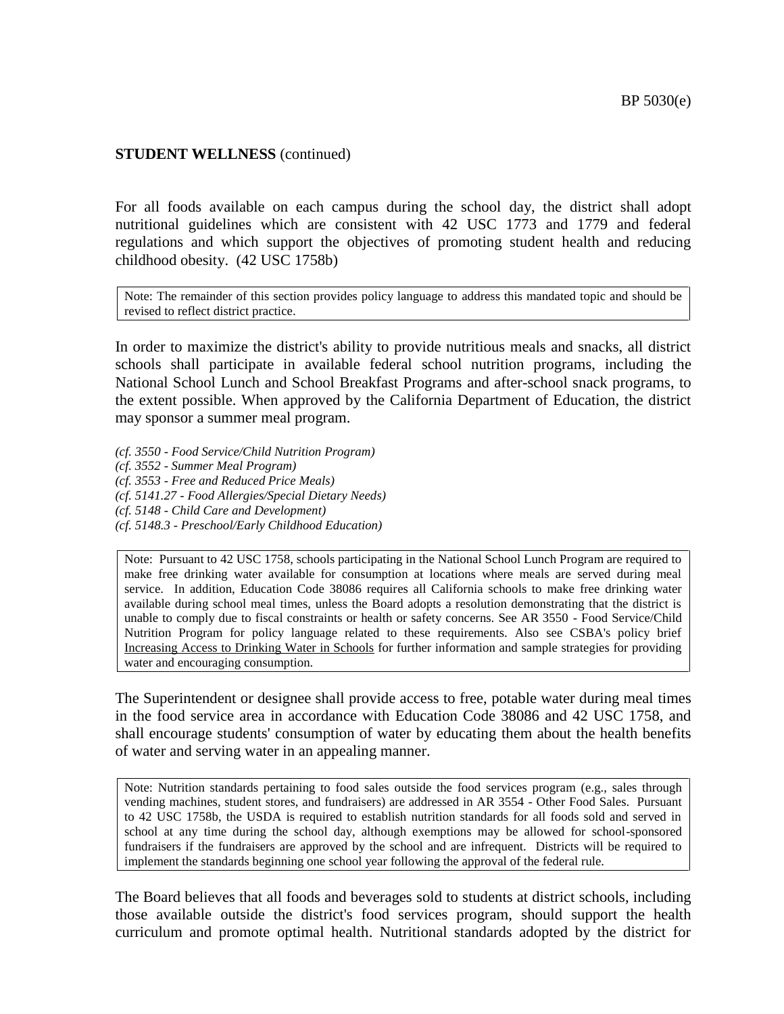For all foods available on each campus during the school day, the district shall adopt nutritional guidelines which are consistent with 42 USC 1773 and 1779 and federal regulations and which support the objectives of promoting student health and reducing childhood obesity. (42 USC 1758b)

Note: The remainder of this section provides policy language to address this mandated topic and should be revised to reflect district practice.

In order to maximize the district's ability to provide nutritious meals and snacks, all district schools shall participate in available federal school nutrition programs, including the National School Lunch and School Breakfast Programs and after-school snack programs, to the extent possible. When approved by the California Department of Education, the district may sponsor a summer meal program.

*(cf. 3550 - Food Service/Child Nutrition Program)*

*(cf. 3552 - Summer Meal Program)*

*(cf. 3553 - Free and Reduced Price Meals)*

*(cf. 5141.27 - Food Allergies/Special Dietary Needs)*

*(cf. 5148 - Child Care and Development)*

*(cf. 5148.3 - Preschool/Early Childhood Education)*

Note: Pursuant to 42 USC 1758, schools participating in the National School Lunch Program are required to make free drinking water available for consumption at locations where meals are served during meal service. In addition, Education Code 38086 requires all California schools to make free drinking water available during school meal times, unless the Board adopts a resolution demonstrating that the district is unable to comply due to fiscal constraints or health or safety concerns. See AR 3550 - Food Service/Child Nutrition Program for policy language related to these requirements. Also see CSBA's policy brief Increasing Access to Drinking Water in Schools for further information and sample strategies for providing water and encouraging consumption.

The Superintendent or designee shall provide access to free, potable water during meal times in the food service area in accordance with Education Code 38086 and 42 USC 1758, and shall encourage students' consumption of water by educating them about the health benefits of water and serving water in an appealing manner.

Note: Nutrition standards pertaining to food sales outside the food services program (e.g., sales through vending machines, student stores, and fundraisers) are addressed in AR 3554 - Other Food Sales. Pursuant to 42 USC 1758b, the USDA is required to establish nutrition standards for all foods sold and served in school at any time during the school day, although exemptions may be allowed for school-sponsored fundraisers if the fundraisers are approved by the school and are infrequent. Districts will be required to implement the standards beginning one school year following the approval of the federal rule.

The Board believes that all foods and beverages sold to students at district schools, including those available outside the district's food services program, should support the health curriculum and promote optimal health. Nutritional standards adopted by the district for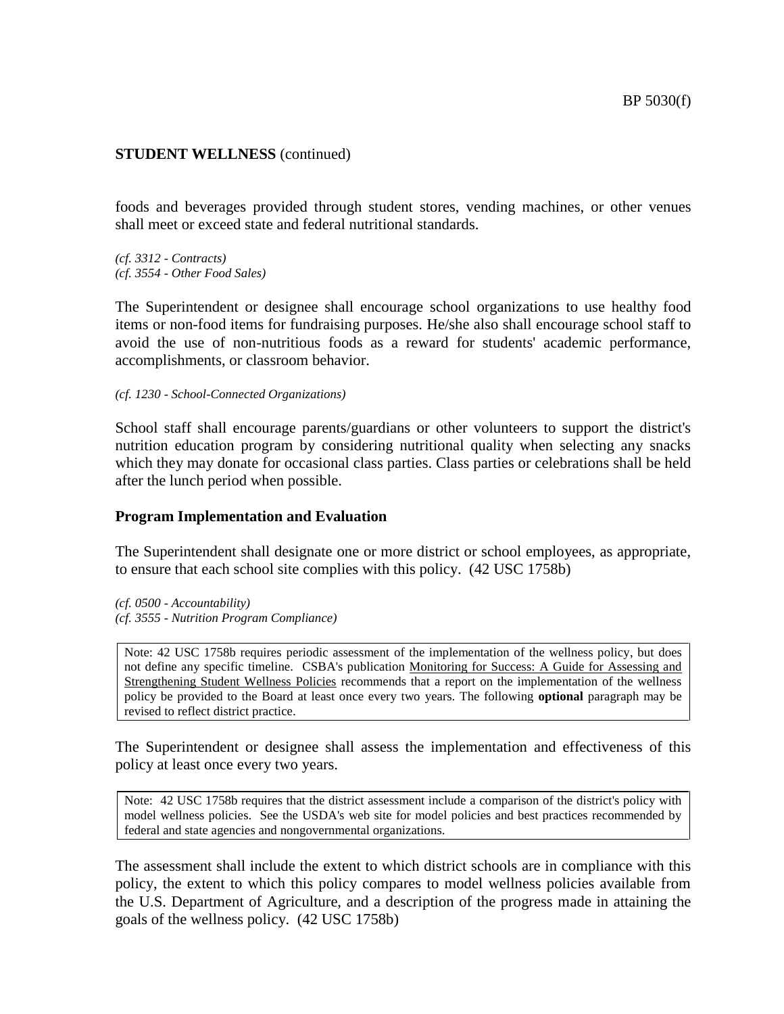foods and beverages provided through student stores, vending machines, or other venues shall meet or exceed state and federal nutritional standards.

*(cf. 3312 - Contracts) (cf. 3554 - Other Food Sales)*

The Superintendent or designee shall encourage school organizations to use healthy food items or non-food items for fundraising purposes. He/she also shall encourage school staff to avoid the use of non-nutritious foods as a reward for students' academic performance, accomplishments, or classroom behavior.

*(cf. 1230 - School-Connected Organizations)*

School staff shall encourage parents/guardians or other volunteers to support the district's nutrition education program by considering nutritional quality when selecting any snacks which they may donate for occasional class parties. Class parties or celebrations shall be held after the lunch period when possible.

#### **Program Implementation and Evaluation**

The Superintendent shall designate one or more district or school employees, as appropriate, to ensure that each school site complies with this policy. (42 USC 1758b)

*(cf. 0500 - Accountability) (cf. 3555 - Nutrition Program Compliance)*

Note: 42 USC 1758b requires periodic assessment of the implementation of the wellness policy, but does not define any specific timeline. CSBA's publication Monitoring for Success: A Guide for Assessing and Strengthening Student Wellness Policies recommends that a report on the implementation of the wellness policy be provided to the Board at least once every two years. The following **optional** paragraph may be revised to reflect district practice.

The Superintendent or designee shall assess the implementation and effectiveness of this policy at least once every two years.

Note: 42 USC 1758b requires that the district assessment include a comparison of the district's policy with model wellness policies. See the USDA's web site for model policies and best practices recommended by federal and state agencies and nongovernmental organizations.

The assessment shall include the extent to which district schools are in compliance with this policy, the extent to which this policy compares to model wellness policies available from the U.S. Department of Agriculture, and a description of the progress made in attaining the goals of the wellness policy. (42 USC 1758b)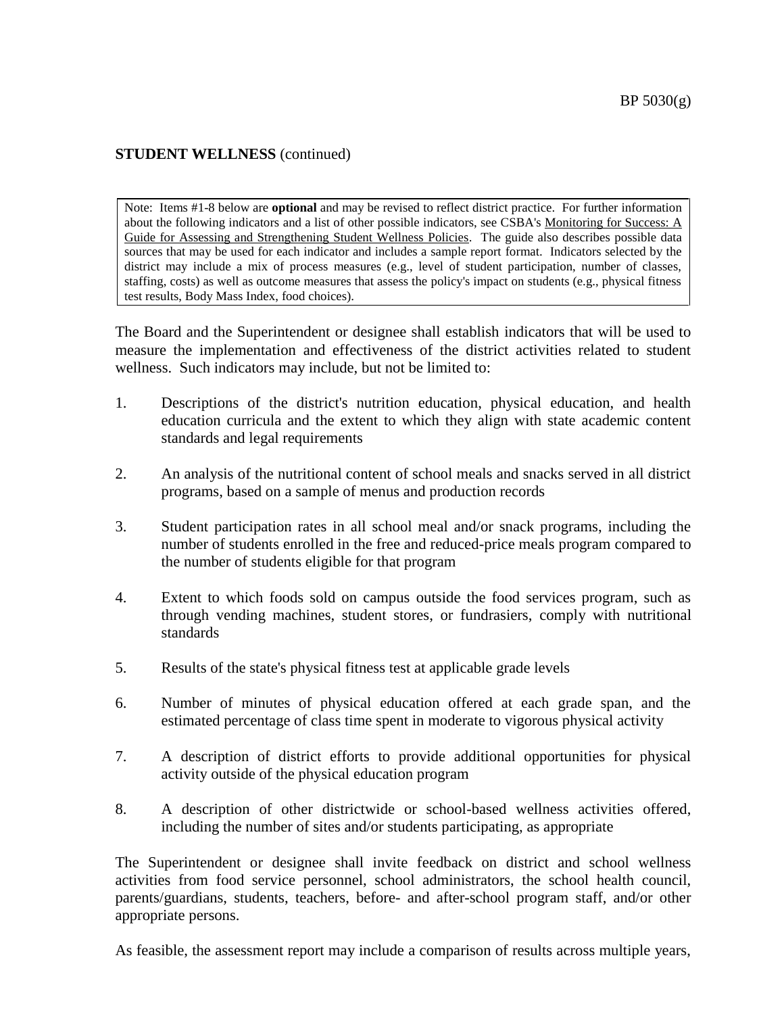Note: Items #1-8 below are **optional** and may be revised to reflect district practice. For further information about the following indicators and a list of other possible indicators, see CSBA's Monitoring for Success: A Guide for Assessing and Strengthening Student Wellness Policies. The guide also describes possible data sources that may be used for each indicator and includes a sample report format. Indicators selected by the district may include a mix of process measures (e.g., level of student participation, number of classes, staffing, costs) as well as outcome measures that assess the policy's impact on students (e.g., physical fitness test results, Body Mass Index, food choices).

The Board and the Superintendent or designee shall establish indicators that will be used to measure the implementation and effectiveness of the district activities related to student wellness. Such indicators may include, but not be limited to:

- 1. Descriptions of the district's nutrition education, physical education, and health education curricula and the extent to which they align with state academic content standards and legal requirements
- 2. An analysis of the nutritional content of school meals and snacks served in all district programs, based on a sample of menus and production records
- 3. Student participation rates in all school meal and/or snack programs, including the number of students enrolled in the free and reduced-price meals program compared to the number of students eligible for that program
- 4. Extent to which foods sold on campus outside the food services program, such as through vending machines, student stores, or fundrasiers, comply with nutritional standards
- 5. Results of the state's physical fitness test at applicable grade levels
- 6. Number of minutes of physical education offered at each grade span, and the estimated percentage of class time spent in moderate to vigorous physical activity
- 7. A description of district efforts to provide additional opportunities for physical activity outside of the physical education program
- 8. A description of other districtwide or school-based wellness activities offered, including the number of sites and/or students participating, as appropriate

The Superintendent or designee shall invite feedback on district and school wellness activities from food service personnel, school administrators, the school health council, parents/guardians, students, teachers, before- and after-school program staff, and/or other appropriate persons.

As feasible, the assessment report may include a comparison of results across multiple years,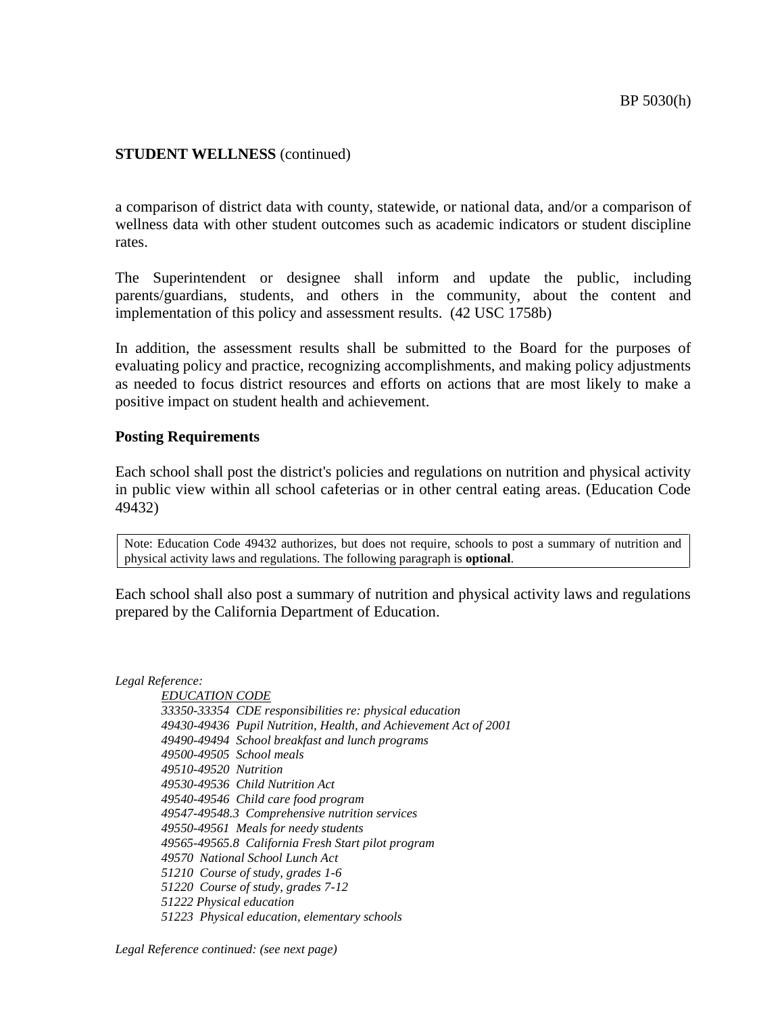a comparison of district data with county, statewide, or national data, and/or a comparison of wellness data with other student outcomes such as academic indicators or student discipline rates.

The Superintendent or designee shall inform and update the public, including parents/guardians, students, and others in the community, about the content and implementation of this policy and assessment results. (42 USC 1758b)

In addition, the assessment results shall be submitted to the Board for the purposes of evaluating policy and practice, recognizing accomplishments, and making policy adjustments as needed to focus district resources and efforts on actions that are most likely to make a positive impact on student health and achievement.

#### **Posting Requirements**

Each school shall post the district's policies and regulations on nutrition and physical activity in public view within all school cafeterias or in other central eating areas. (Education Code 49432)

Note: Education Code 49432 authorizes, but does not require, schools to post a summary of nutrition and physical activity laws and regulations. The following paragraph is **optional**.

Each school shall also post a summary of nutrition and physical activity laws and regulations prepared by the California Department of Education.

*Legal Reference:*

*EDUCATION CODE 33350-33354 CDE responsibilities re: physical education 49430-49436 Pupil Nutrition, Health, and Achievement Act of 2001 49490-49494 School breakfast and lunch programs 49500-49505 School meals 49510-49520 Nutrition 49530-49536 Child Nutrition Act 49540-49546 Child care food program 49547-49548.3 Comprehensive nutrition services 49550-49561 Meals for needy students 49565-49565.8 California Fresh Start pilot program 49570 National School Lunch Act 51210 Course of study, grades 1-6 51220 Course of study, grades 7-12 51222 Physical education 51223 Physical education, elementary schools*

*Legal Reference continued: (see next page)*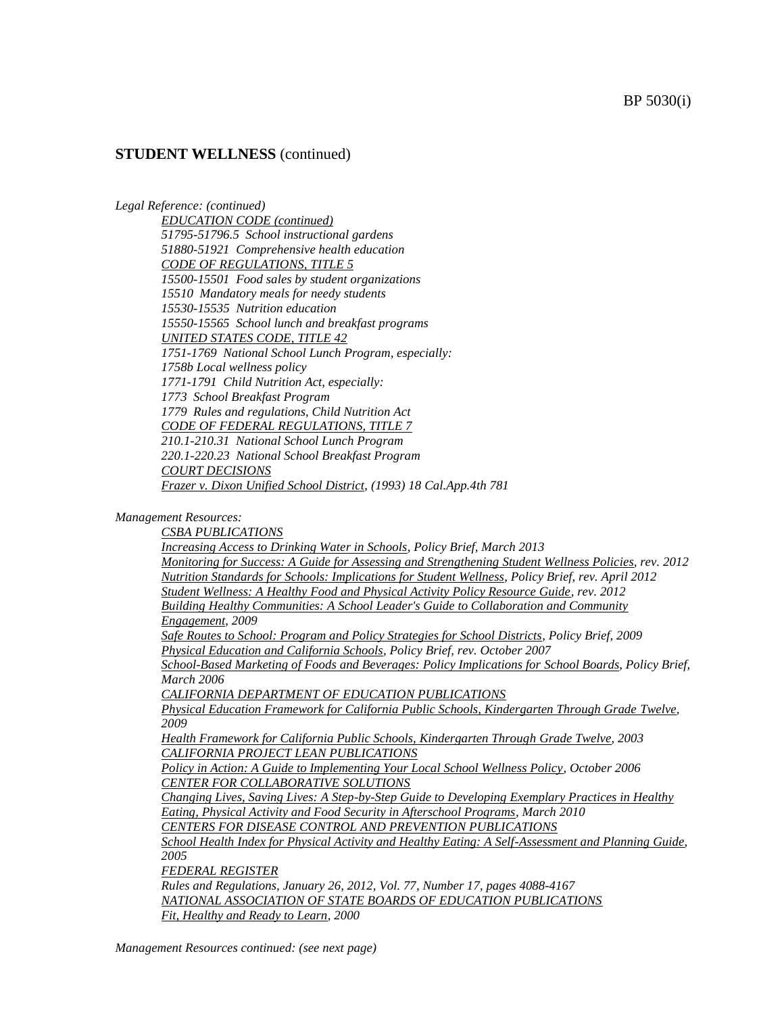*Legal Reference: (continued)*

*EDUCATION CODE (continued) 51795-51796.5 School instructional gardens 51880-51921 Comprehensive health education CODE OF REGULATIONS, TITLE 5 15500-15501 Food sales by student organizations 15510 Mandatory meals for needy students 15530-15535 Nutrition education 15550-15565 School lunch and breakfast programs UNITED STATES CODE, TITLE 42 1751-1769 National School Lunch Program, especially: 1758b Local wellness policy 1771-1791 Child Nutrition Act, especially: 1773 School Breakfast Program 1779 Rules and regulations, Child Nutrition Act CODE OF FEDERAL REGULATIONS, TITLE 7 210.1-210.31 National School Lunch Program 220.1-220.23 National School Breakfast Program COURT DECISIONS Frazer v. Dixon Unified School District, (1993) 18 Cal.App.4th 781*

#### *Management Resources:*

*CSBA PUBLICATIONS Increasing Access to Drinking Water in Schools, Policy Brief, March 2013 Monitoring for Success: A Guide for Assessing and Strengthening Student Wellness Policies, rev. 2012 Nutrition Standards for Schools: Implications for Student Wellness, Policy Brief, rev. April 2012 Student Wellness: A Healthy Food and Physical Activity Policy Resource Guide, rev. 2012 Building Healthy Communities: A School Leader's Guide to Collaboration and Community Engagement, 2009 Safe Routes to School: Program and Policy Strategies for School Districts, Policy Brief, 2009 Physical Education and California Schools, Policy Brief, rev. October 2007 School-Based Marketing of Foods and Beverages: Policy Implications for School Boards, Policy Brief, March 2006 CALIFORNIA DEPARTMENT OF EDUCATION PUBLICATIONS Physical Education Framework for California Public Schools, Kindergarten Through Grade Twelve, 2009 Health Framework for California Public Schools, Kindergarten Through Grade Twelve, 2003 CALIFORNIA PROJECT LEAN PUBLICATIONS Policy in Action: A Guide to Implementing Your Local School Wellness Policy, October 2006 CENTER FOR COLLABORATIVE SOLUTIONS Changing Lives, Saving Lives: A Step-by-Step Guide to Developing Exemplary Practices in Healthy Eating, Physical Activity and Food Security in Afterschool Programs, March 2010 CENTERS FOR DISEASE CONTROL AND PREVENTION PUBLICATIONS School Health Index for Physical Activity and Healthy Eating: A Self-Assessment and Planning Guide, 2005 FEDERAL REGISTER Rules and Regulations, January 26, 2012, Vol. 77, Number 17, pages 4088-4167 NATIONAL ASSOCIATION OF STATE BOARDS OF EDUCATION PUBLICATIONS Fit, Healthy and Ready to Learn, 2000*